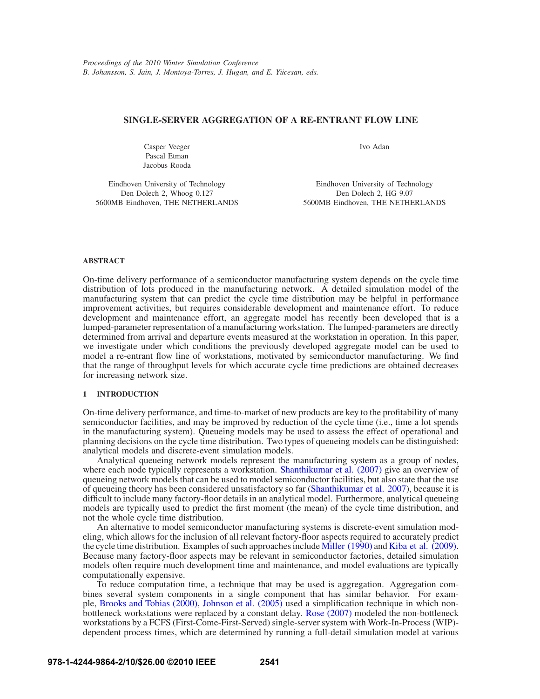# **SINGLE-SERVER AGGREGATION OF A RE-ENTRANT FLOW LINE**

Casper Veeger Pascal Etman Jacobus Rooda Ivo Adan

Eindhoven University of Technology Den Dolech 2, Whoog 0.127 5600MB Eindhoven, THE NETHERLANDS

Eindhoven University of Technology Den Dolech 2, HG 9.07 5600MB Eindhoven, THE NETHERLANDS

# **ABSTRACT**

On-time delivery performance of a semiconductor manufacturing system depends on the cycle time distribution of lots produced in the manufacturing network. A detailed simulation model of the manufacturing system that can predict the cycle time distribution may be helpful in performance improvement activities, but requires considerable development and maintenance effort. To reduce development and maintenance effort, an aggregate model has recently been developed that is a lumped-parameter representation of a manufacturing workstation. The lumped-parameters are directly determined from arrival and departure events measured at the workstation in operation. In this paper, we investigate under which conditions the previously developed aggregate model can be used to model a re-entrant flow line of workstations, motivated by semiconductor manufacturing. We find that the range of throughput levels for which accurate cycle time predictions are obtained decreases for increasing network size.

# **1 INTRODUCTION**

On-time delivery performance, and time-to-market of new products are key to the profitability of many semiconductor facilities, and may be improved by reduction of the cycle time (i.e., time a lot spends in the manufacturing system). Queueing models may be used to assess the effect of operational and planning decisions on the cycle time distribution. Two types of queueing models can be distinguished: analytical models and discrete-event simulation models.

Analytical queueing network models represent the manufacturing system as a group of nodes, where each node typically represents a workstation. Shanthikumar et al. (2007) give an overview of queueing network models that can be used to model semiconductor facilities, but also state that the use of queueing theory has been considered unsatisfactory so far (Shanthikumar et al. 2007), because it is difficult to include many factory-floor details in an analytical model. Furthermore, analytical queueing models are typically used to predict the first moment (the mean) of the cycle time distribution, and not the whole cycle time distribution.

An alternative to model semiconductor manufacturing systems is discrete-event simulation modeling, which allows for the inclusion of all relevant factory-floor aspects required to accurately predict the cycle time distribution. Examples of such approaches include Miller (1990) and Kiba et al. (2009). Because many factory-floor aspects may be relevant in semiconductor factories, detailed simulation models often require much development time and maintenance, and model evaluations are typically computationally expensive.

To reduce computation time, a technique that may be used is aggregation. Aggregation combines several system components in a single component that has similar behavior. For example, Brooks and Tobias (2000), Johnson et al. (2005) used a simplification technique in which nonbottleneck workstations were replaced by a constant delay. Rose (2007) modeled the non-bottleneck workstations by a FCFS (First-Come-First-Served) single-server system with Work-In-Process (WIP) dependent process times, which are determined by running a full-detail simulation model at various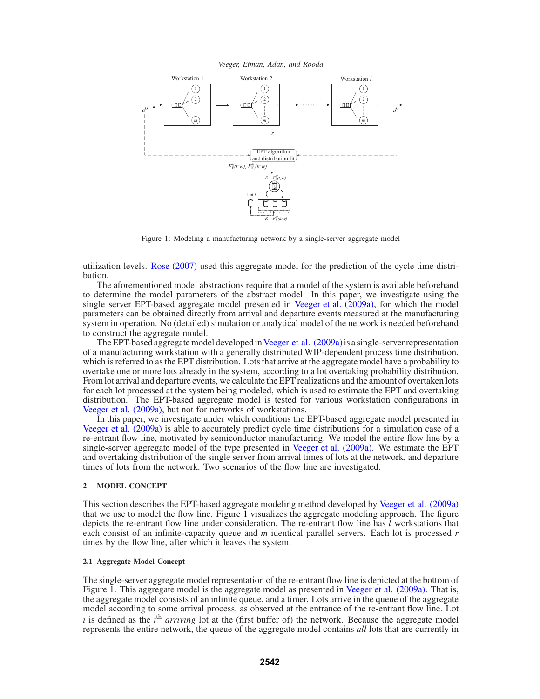*Veeger, Etman, Adan, and Rooda*



Figure 1: Modeling a manufacturing network by a single-server aggregate model

utilization levels. Rose (2007) used this aggregate model for the prediction of the cycle time distribution.

The aforementioned model abstractions require that a model of the system is available beforehand to determine the model parameters of the abstract model. In this paper, we investigate using the single server EPT-based aggregate model presented in Veeger et al. (2009a), for which the model parameters can be obtained directly from arrival and departure events measured at the manufacturing system in operation. No (detailed) simulation or analytical model of the network is needed beforehand to construct the aggregate model.

The EPT-based aggregate model developed in Veeger et al. (2009a) is a single-server representation of a manufacturing workstation with a generally distributed WIP-dependent process time distribution, which is referred to as the EPT distribution. Lots that arrive at the aggregate model have a probability to overtake one or more lots already in the system, according to a lot overtaking probability distribution. From lot arrival and departure events, we calculate the EPT realizations and the amount of overtaken lots for each lot processed at the system being modeled, which is used to estimate the EPT and overtaking distribution. The EPT-based aggregate model is tested for various workstation configurations in Veeger et al. (2009a), but not for networks of workstations.

In this paper, we investigate under which conditions the EPT-based aggregate model presented in Veeger et al. (2009a) is able to accurately predict cycle time distributions for a simulation case of a re-entrant flow line, motivated by semiconductor manufacturing. We model the entire flow line by a single-server aggregate model of the type presented in Veeger et al. (2009a). We estimate the EPT and overtaking distribution of the single server from arrival times of lots at the network, and departure times of lots from the network. Two scenarios of the flow line are investigated.

# **2 MODEL CONCEPT**

This section describes the EPT-based aggregate modeling method developed by Veeger et al. (2009a) that we use to model the flow line. Figure 1 visualizes the aggregate modeling approach. The figure depicts the re-entrant flow line under consideration. The re-entrant flow line has *l* workstations that each consist of an infinite-capacity queue and *m* identical parallel servers. Each lot is processed *r* times by the flow line, after which it leaves the system.

### **2.1 Aggregate Model Concept**

The single-server aggregate model representation of the re-entrant flow line is depicted at the bottom of Figure 1. This aggregate model is the aggregate model as presented in Veeger et al. (2009a). That is, the aggregate model consists of an infinite queue, and a timer. Lots arrive in the queue of the aggregate model according to some arrival process, as observed at the entrance of the re-entrant flow line. Lot  $i$  is defined as the  $i<sup>th</sup>$  *arriving* lot at the (first buffer of) the network. Because the aggregate model represents the entire network, the queue of the aggregate model contains *all* lots that are currently in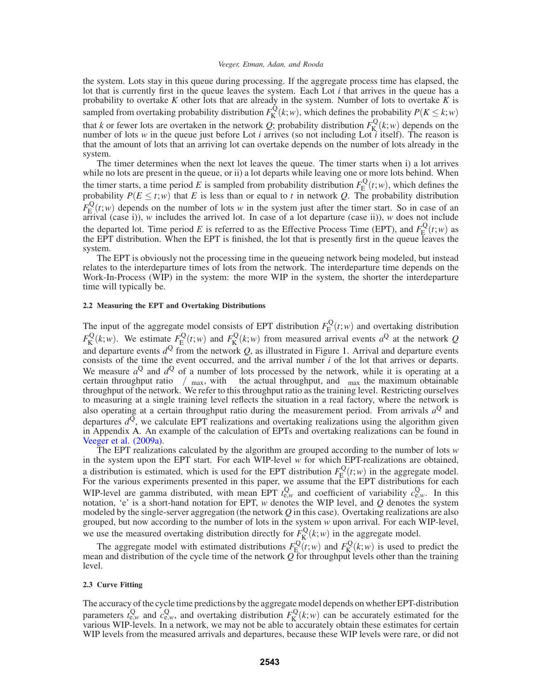the system. Lots stay in this queue during processing. If the aggregate process time has elapsed, the lot that is currently first in the queue leaves the system. Each Lot *i* that arrives in the queue has a probability to overtake *K* other lots that are already in the system. Number of lots to overtake *K* is sampled from overtaking probability distribution  $F_K^{\mathbf{Q}}(k;w)$ , which defines the probability  $P(K \leq k; w)$ that *k* or fewer lots are overtaken in the network *Q*; probability distribution  $F_K^Q(k;w)$  depends on the number of lots *w* in the queue just before Lot *i* arrives (so not including Lot *i* itself). The reason is that the amount of lots that an arriving lot can overtake depends on the number of lots already in the system.

The timer determines when the next lot leaves the queue. The timer starts when i) a lot arrives while no lots are present in the queue, or ii) a lot departs while leaving one or more lots behind. When the timer starts, a time period *E* is sampled from probability distribution  $F_{\rm E}^{\rm Q}(t;w)$ , which defines the probability  $P(E \le t; w)$  that *E* is less than or equal to *t* in network *Q*. The probability distribution  $F_{\rm E}^{\rm Q}(t;w)$  depends on the number of lots *w* in the system just after the timer start. So in case of an arrival (case i)), *w* includes the arrived lot. In case of a lot departure (case ii)), *w* does not include the departed lot. Time period E is referred to as the Effective Process Time (EPT), and  $F_{E}^{Q}(t; w)$  as the EPT distribution. When the EPT is finished, the lot that is presently first in the queue leaves the system.

The EPT is obviously not the processing time in the queueing network being modeled, but instead relates to the interdeparture times of lots from the network. The interdeparture time depends on the Work-In-Process (WIP) in the system: the more WIP in the system, the shorter the interdeparture time will typically be.

# **2.2 Measuring the EPT and Overtaking Distributions**

The input of the aggregate model consists of EPT distribution  $F_{\rm E}^{\rm Q}(t;w)$  and overtaking distribution  $F_K^{\mathcal{Q}}(k;w)$ . We estimate  $F_E^{\mathcal{Q}}(t;w)$  and  $F_K^{\mathcal{Q}}(k;w)$  from measured arrival events  $a^{\mathcal{Q}}$  at the network *Q* and departure events  $d^Q$  from the network  $Q$ , as illustrated in Figure 1. Arrival and departure events consists of the time the event occurred, and the arrival number *i* of the lot that arrives or departs. We measure  $a^{Q}$  and  $d^{Q}$  of a number of lots processed by the network, while it is operating at a certain throughput ratio  $\delta/\delta_{\rm max}$ , with  $\delta$  the actual throughput, and  $\delta_{\rm max}$  the maximum obtainable throughput of the network. We refer to this throughput ratio as the training level. Restricting ourselves to measuring at a single training level reflects the situation in a real factory, where the network is also operating at a certain throughput ratio during the measurement period. From arrivals  $a^{Q}$  and departures  $d^{Q}$ , we calculate EPT realizations and overtaking realizations using the algorithm given in Appendix A. An example of the calculation of EPTs and overtaking realizations can be found in Veeger et al. (2009a).

The EPT realizations calculated by the algorithm are grouped according to the number of lots *w* in the system upon the EPT start. For each WIP-level *w* for which EPT-realizations are obtained, a distribution is estimated, which is used for the EPT distribution  $F_{\rm E}^{\rm Q}(t;w)$  in the aggregate model.<br>For the various experiments presented in this paper, we assume that the EPT distributions for each WIP-level are gamma distributed, with mean EPT  $t_{e,w}^Q$  and coefficient of variability  $c_{e,w}^Q$ . In this notation, 'e' is a short-hand notation for EPT, *w* denotes the WIP level, and *Q* denotes the system modeled by the single-server aggregation (the network *Q* in this case). Overtaking realizations are also grouped, but now according to the number of lots in the system *w* upon arrival. For each WIP-level, we use the measured overtaking distribution directly for  $F_K^Q(k;w)$  in the aggregate model.

The aggregate model with estimated distributions  $F_{\rm E}^{\rm Q}(t;w)$  and  $F_{\rm K}^{\rm Q}(k;w)$  is used to predict the mean and distribution of the cycle time of the network *Q* for throughput levels other than the training level.

### **2.3 Curve Fitting**

The accuracy of the cycle time predictions by the aggregate model depends on whether EPT-distribution parameters  $t_{e,w}^Q$  and  $c_{e,w}^Q$ , and overtaking distribution  $F_K^Q(k;w)$  can be accurately estimated for the various WIP-levels. In a network, we may not be able to accurately obtain these estimates for certain WIP levels from the measured arrivals and departures, because these WIP levels were rare, or did not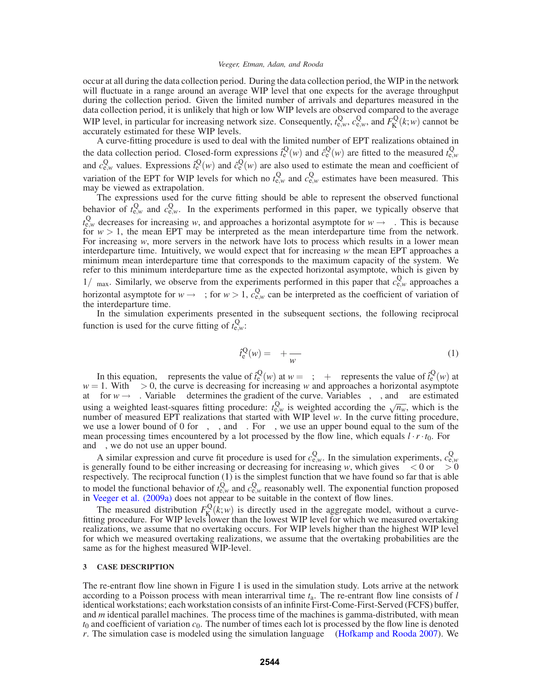occur at all during the data collection period. During the data collection period, the WIP in the network will fluctuate in a range around an average WIP level that one expects for the average throughput during the collection period. Given the limited number of arrivals and departures measured in the data collection period, it is unlikely that high or low WIP levels are observed compared to the average WIP level, in particular for increasing network size. Consequently,  $t_{e,w}^Q$ ,  $c_{e,w}^Q$ , and  $F_K^Q(k;w)$  cannot be accurately estimated for these WIP levels.

A curve-fitting procedure is used to deal with the limited number of EPT realizations obtained in the data collection period. Closed-form expressions  $\hat{i}_{e}^{Q}(w)$  and  $\hat{c}_{e}^{Q}(w)$  are fitted to the measured  $\hat{i}_{e,w}^{Q}(w)$ and  $c_{e,w}^Q$  values. Expressions  $f_e^Q(w)$  and  $\hat{c}_e^Q(w)$  are also used to estimate the mean and coefficient of variation of the EPT for WIP levels for which no  $t_{e,w}^Q$  and  $c_{e,w}^Q$  estimates have been measured. This may be viewed as extrapolation.

The expressions used for the curve fitting should be able to represent the observed functional behavior of  $t_{e,w}^Q$  and  $c_{e,w}^Q$ . In the experiments performed in this paper, we typically observe that  $t_{e,w}^Q$  decreases for increasing w, and approaches a horizontal asymptote for  $w \to \infty$ . This is because for  $w > 1$ , the mean EPT may be interpreted as the mean interdeparture time from the network. For increasing *w*, more servers in the network have lots to process which results in a lower mean interdeparture time. Intuitively, we would expect that for increasing *w* the mean EPT approaches a minimum mean interdeparture time that corresponds to the maximum capacity of the system. We refer to this minimum interdeparture time as the expected horizontal asymptote, which is given by  $1/\delta_{\text{max}}$ . Similarly, we observe from the experiments performed in this paper that  $c_{e,w}^Q$  approaches a horizontal asymptote for  $w \rightarrow \infty$ ; for  $w > 1$ ,  $c_{e,w}^Q$  can be interpreted as the coefficient of variation of the interdeparture time.

In the simulation experiments presented in the subsequent sections, the following reciprocal function is used for the curve fitting of  $t_{e,w}^{\text{Q}}$ .

$$
\hat{t}_{e}^{Q}(w) = \theta + \frac{\eta}{w^{\lambda}}
$$
 (1)

In this equation,  $\theta$  represents the value of  $\hat{i}_{e}^{Q}(w)$  at  $w = \infty$ ;  $\theta + \eta$  represents the value of  $\hat{i}_{e}^{Q}(w)$  at  $w = 1$ . With  $\eta > 0$ , the curve is decreasing for increasing *w* and approaches a horizontal asymptote at  $\theta$  for  $w \to \infty$ . Variable  $\lambda$  determines the gradient of the curve. Variables  $\theta$ ,  $\eta$ , and  $\lambda$  are estimated using a weighted least-squares fitting procedure:  $t_{e,w}^Q$  is weighted according the  $\sqrt{n_w}$ , which is the number of measured EPT realizations that started with WIP level *w*. In the curve fitting procedure, we use a lower bound of 0 for  $\theta$ ,  $\eta$ , and  $\lambda$ . For  $\eta$ , we use an upper bound equal to the sum of the mean processing times encountered by a lot processed by the flow line, which equals  $l \cdot r \cdot t_0$ . For  $\theta$ and  $\lambda$ , we do not use an upper bound.

A similar expression and curve fit procedure is used for  $c_{e,w}^Q$ . In the simulation experiments,  $c_{e,w}^Q$  is generally found to be either increasing or decreasing for increasing w, which gives  $\eta < 0$  or  $\eta > 0$ respectively. The reciprocal function (1) is the simplest function that we have found so far that is able to model the functional behavior of  $t_{e,w}^Q$  and  $c_{e,w}^Q$  reasonably well. The exponential function proposed in Veeger et al. (2009a) does not appear to be suitable in the context of flow lines.

The measured distribution  $F_K^Q(k; w)$  is directly used in the aggregate model, without a curve-<br>fitting procedure. For WIP levels lower than the lowest WIP level for which we measured overtaking realizations, we assume that no overtaking occurs. For WIP levels higher than the highest WIP level for which we measured overtaking realizations, we assume that the overtaking probabilities are the same as for the highest measured WIP-level.

# **3 CASE DESCRIPTION**

The re-entrant flow line shown in Figure 1 is used in the simulation study. Lots arrive at the network according to a Poisson process with mean interarrival time *t*a. The re-entrant flow line consists of *l* identical workstations; each workstation consists of an infinite First-Come-First-Served (FCFS) buffer, and *m* identical parallel machines. The process time of the machines is gamma-distributed, with mean  $t_0$  and coefficient of variation  $c_0$ . The number of times each lot is processed by the flow line is denoted *r*. The simulation case is modeled using the simulation language  $\chi$  (Hofkamp and Rooda 2007). We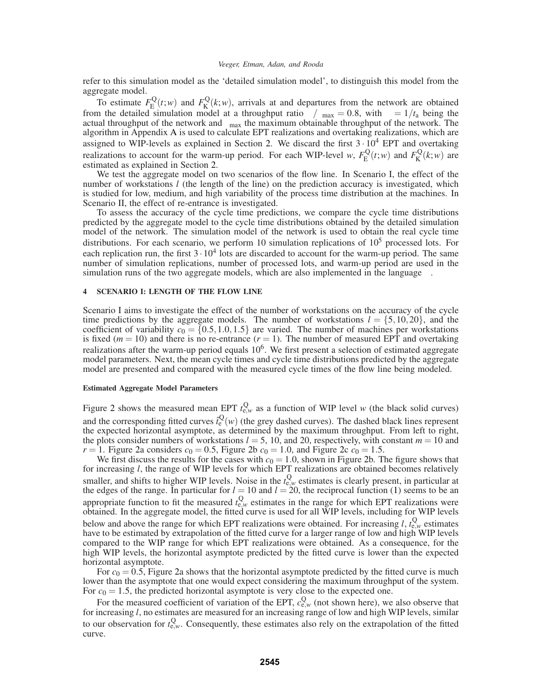refer to this simulation model as the 'detailed simulation model', to distinguish this model from the aggregate model.

To estimate  $F_{\rm E}^{\rm Q}(t;w)$  and  $F_{\rm K}^{\rm Q}(k;w)$ , arrivals at and departures from the network are obtained from the detailed simulation model at a throughput ratio  $\delta/\delta_{\text{max}} = 0.8$ , with  $\delta = 1/t_a$  being the actual throughput of the network and  $\delta_{\text{max}}$  the maximum obtainable throughput of the network. The algorithm in Appendix A is used to calculate EPT realizations and overtaking realizations, which are assigned to WIP-levels as explained in Section 2. We discard the first  $3 \cdot 10^4$  EPT and overtaking realizations to account for the warm-up period. For each WIP-level *w*,  $F_{\rm E}^{\rm Q}(t;w)$  and  $F_{\rm K}^{\rm Q}(k;w)$  are estimated as explained in Section 2.

We test the aggregate model on two scenarios of the flow line. In Scenario I, the effect of the number of workstations *l* (the length of the line) on the prediction accuracy is investigated, which is studied for low, medium, and high variability of the process time distribution at the machines. In Scenario II, the effect of re-entrance is investigated.

To assess the accuracy of the cycle time predictions, we compare the cycle time distributions predicted by the aggregate model to the cycle time distributions obtained by the detailed simulation model of the network. The simulation model of the network is used to obtain the real cycle time distributions. For each scenario, we perform 10 simulation replications of  $10<sup>5</sup>$  processed lots. For each replication run, the first  $3 \cdot 10^4$  lots are discarded to account for the warm-up period. The same number of simulation replications, number of processed lots, and warm-up period are used in the simulation runs of the two aggregate models, which are also implemented in the language  $\chi$ .

# **4 SCENARIO I: LENGTH OF THE FLOW LINE**

Scenario I aims to investigate the effect of the number of workstations on the accuracy of the cycle time predictions by the aggregate models. The number of workstations  $l = \{5, 10, 20\}$ , and the coefficient of variability  $c_0 = \{0.5, 1.0, 1.5\}$  are varied. The number of machines per workstations is fixed ( $m = 10$ ) and there is no re-entrance ( $r = 1$ ). The number of measured EPT and overtaking realizations after the warm-up period equals  $10<sup>6</sup>$ . We first present a selection of estimated aggregate model parameters. Next, the mean cycle times and cycle time distributions predicted by the aggregate model are presented and compared with the measured cycle times of the flow line being modeled.

### **Estimated Aggregate Model Parameters**

Figure 2 shows the measured mean EPT  $t_{e,w}^Q$  as a function of WIP level *w* (the black solid curves) and the corresponding fitted curves  $\hat{i}_{e}^{Q}(w)$  (the grey dashed curves). The dashed black lines represent the expected horizontal asymptote, as determined by the maximum throughput. From left to right, the plots consider numbers of workstations  $l = 5$ , 10, and 20, respectively, with constant  $m = 10$  and *r* = 1. Figure 2a considers  $c_0 = 0.5$ , Figure 2b  $c_0 = 1.0$ , and Figure 2c  $c_0 = 1.5$ .

We first discuss the results for the cases with  $c_0 = 1.0$ , shown in Figure 2b. The figure shows that for increasing *l*, the range of WIP levels for which EPT realizations are obtained becomes relatively smaller, and shifts to higher WIP levels. Noise in the  $t_{e,w}^Q$  estimates is clearly present, in particular at the edges of the range. In particular for  $l = 10$  and  $l = 20$ , the reciprocal function (1) seems to be an appropriate function to fit the measured  $t_{e,w}^Q$  estimates in the range for which EPT realizations were obtained. In the aggregate model, the fitted curve is used for all WIP levels, including for WIP levels below and above the range for which EPT realizations were obtained. For increasing  $l$ ,  $t_{e,w}^Q$  estimates have to be estimated by extrapolation of the fitted curve for a larger range of low and high WIP levels compared to the WIP range for which EPT realizations were obtained. As a consequence, for the high WIP levels, the horizontal asymptote predicted by the fitted curve is lower than the expected horizontal asymptote.

For  $c_0 = 0.5$ , Figure 2a shows that the horizontal asymptote predicted by the fitted curve is much lower than the asymptote that one would expect considering the maximum throughput of the system. For  $c_0 = 1.5$ , the predicted horizontal asymptote is very close to the expected one.

For the measured coefficient of variation of the EPT,  $c_{e,w}^Q$  (not shown here), we also observe that for increasing *l*, no estimates are measured for an increasing range of low and high WIP levels, similar to our observation for  $t_{e,w}^{\text{Q}}$ . Consequently, these estimates also rely on the extrapolation of the fitted curve.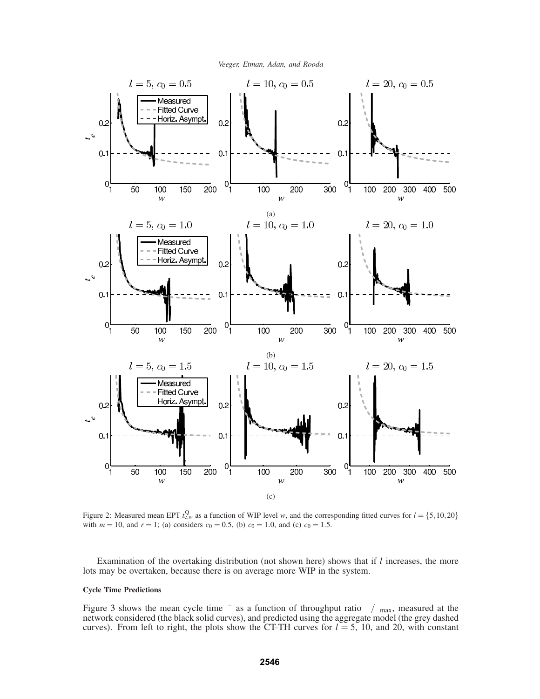



Figure 2: Measured mean EPT  $t_{e,w}^Q$  as a function of WIP level *w*, and the corresponding fitted curves for  $l = \{5, 10, 20\}$ with  $m = 10$ , and  $r = 1$ ; (a) considers  $c_0 = 0.5$ , (b)  $c_0 = 1.0$ , and (c)  $c_0 = 1.5$ .

Examination of the overtaking distribution (not shown here) shows that if *l* increases, the more lots may be overtaken, because there is on average more WIP in the system.

# **Cycle Time Predictions**

Figure 3 shows the mean cycle time  $\bar{\varphi}$  as a function of throughput ratio  $\delta/\delta_{\text{max}}$ , measured at the network considered (the black solid curves), and predicted using the aggregate model (the grey dashed curves). From left to right, the plots show the CT-TH curves for  $l = 5$ , 10, and 20, with constant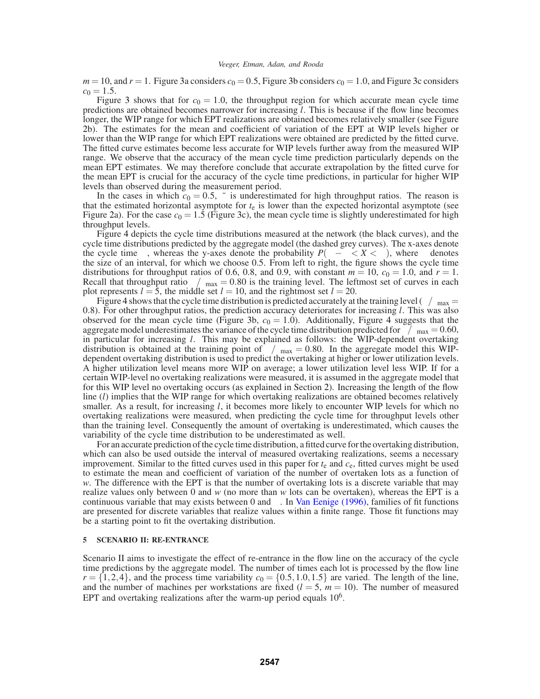$m = 10$ , and  $r = 1$ . Figure 3a considers  $c_0 = 0.5$ , Figure 3b considers  $c_0 = 1.0$ , and Figure 3c considers  $c_0 = 1.5$ .

Figure 3 shows that for  $c_0 = 1.0$ , the throughput region for which accurate mean cycle time predictions are obtained becomes narrower for increasing *l*. This is because if the flow line becomes longer, the WIP range for which EPT realizations are obtained becomes relatively smaller (see Figure 2b). The estimates for the mean and coefficient of variation of the EPT at WIP levels higher or lower than the WIP range for which EPT realizations were obtained are predicted by the fitted curve. The fitted curve estimates become less accurate for WIP levels further away from the measured WIP range. We observe that the accuracy of the mean cycle time prediction particularly depends on the mean EPT estimates. We may therefore conclude that accurate extrapolation by the fitted curve for the mean EPT is crucial for the accuracy of the cycle time predictions, in particular for higher WIP levels than observed during the measurement period.

In the cases in which  $c_0 = 0.5$ ,  $\bar{\varphi}$  is underestimated for high throughput ratios. The reason is that the estimated horizontal asymptote for  $t<sub>e</sub>$  is lower than the expected horizontal asymptote (see Figure 2a). For the case  $c_0 = 1.5$  (Figure 3c), the mean cycle time is slightly underestimated for high throughput levels.

Figure 4 depicts the cycle time distributions measured at the network (the black curves), and the cycle time distributions predicted by the aggregate model (the dashed grey curves). The x-axes denote the cycle time  $\varphi$ , whereas the y-axes denote the probability  $P(\varphi - \varepsilon < X < \varphi)$ , where  $\varepsilon$  denotes the size of an interval, for which we choose 0.5. From left to right, the figure shows the cycle time distributions for throughput ratios of 0.6, 0.8, and 0.9, with constant  $m = 10$ ,  $c_0 = 1.0$ , and  $r = 1$ . Recall that throughput ratio  $\delta/\delta_{\text{max}} = 0.80$  is the training level. The leftmost set of curves in each plot represents  $l = 5$ , the middle set  $l = 10$ , and the rightmost set  $l = 20$ .

Figure 4 shows that the cycle time distribution is predicted accurately at the training level ( $\delta/\delta_{\rm max}$  = 0.8). For other throughput ratios, the prediction accuracy deteriorates for increasing *l*. This was also observed for the mean cycle time (Figure 3b,  $c_0 = 1.0$ ). Additionally, Figure 4 suggests that the aggregate model underestimates the variance of the cycle time distribution predicted for  $\tilde{\delta}/\delta_{\text{max}} = 0.60$ , in particular for increasing *l*. This may be explained as follows: the WIP-dependent overtaking distribution is obtained at the training point of  $\delta/\delta_{\text{max}} = 0.80$ . In the aggregate model this WIPdependent overtaking distribution is used to predict the overtaking at higher or lower utilization levels. A higher utilization level means more WIP on average; a lower utilization level less WIP. If for a certain WIP-level no overtaking realizations were measured, it is assumed in the aggregate model that for this WIP level no overtaking occurs (as explained in Section 2). Increasing the length of the flow line (*l*) implies that the WIP range for which overtaking realizations are obtained becomes relatively smaller. As a result, for increasing *l*, it becomes more likely to encounter WIP levels for which no overtaking realizations were measured, when predicting the cycle time for throughput levels other than the training level. Consequently the amount of overtaking is underestimated, which causes the variability of the cycle time distribution to be underestimated as well.

For an accurate prediction of the cycle time distribution, a fitted curve for the overtaking distribution, which can also be used outside the interval of measured overtaking realizations, seems a necessary improvement. Similar to the fitted curves used in this paper for *t*<sup>e</sup> and *c*e, fitted curves might be used to estimate the mean and coefficient of variation of the number of overtaken lots as a function of *w*. The difference with the EPT is that the number of overtaking lots is a discrete variable that may realize values only between 0 and *w* (no more than *w* lots can be overtaken), whereas the EPT is a continuous variable that may exists between 0 and  $\infty$ . In Van Eenige (1996), families of fit functions are presented for discrete variables that realize values within a finite range. Those fit functions may be a starting point to fit the overtaking distribution.

### **5 SCENARIO II: RE-ENTRANCE**

Scenario II aims to investigate the effect of re-entrance in the flow line on the accuracy of the cycle time predictions by the aggregate model. The number of times each lot is processed by the flow line  $r = \{1,2,4\}$ , and the process time variability  $c_0 = \{0.5,1.0,1.5\}$  are varied. The length of the line, and the number of machines per workstations are fixed  $(l = 5, m = 10)$ . The number of measured EPT and overtaking realizations after the warm-up period equals  $10<sup>6</sup>$ .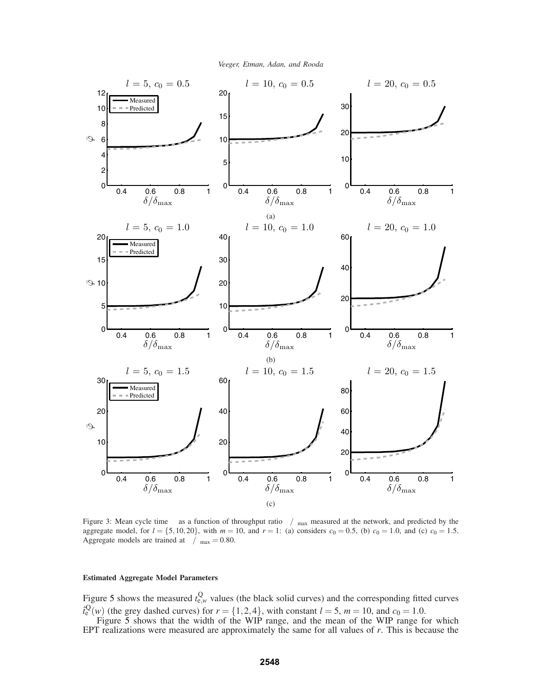

Figure 3: Mean cycle time  $\varphi$  as a function of throughput ratio  $\delta/\delta_{\text{max}}$  measured at the network, and predicted by the aggregate model, for  $l = \{5, 10, 20\}$ , with  $m = 10$ , and  $r = 1$ : (a) considers  $c_0 = 0.5$ , (b)  $c_0 = 1.0$ , and (c)  $c_0 = 1.5$ . Aggregate models are trained at  $\delta/\delta_{\text{max}} = 0.80$ .

### **Estimated Aggregate Model Parameters**

Figure 5 shows the measured  $t_{e,w}^{\text{Q}}$  values (the black solid curves) and the corresponding fitted curves  $\hat{t}_{e}^{Q}(w)$  (the grey dashed curves) for  $r = \{1, 2, 4\}$ , with constant  $l = 5$ ,  $m = 10$ , and  $c_0 = 1.0$ .

Figure 5 shows that the width of the WIP range, and the mean of the WIP range for which EPT realizations were measured are approximately the same for all values of *r*. This is because the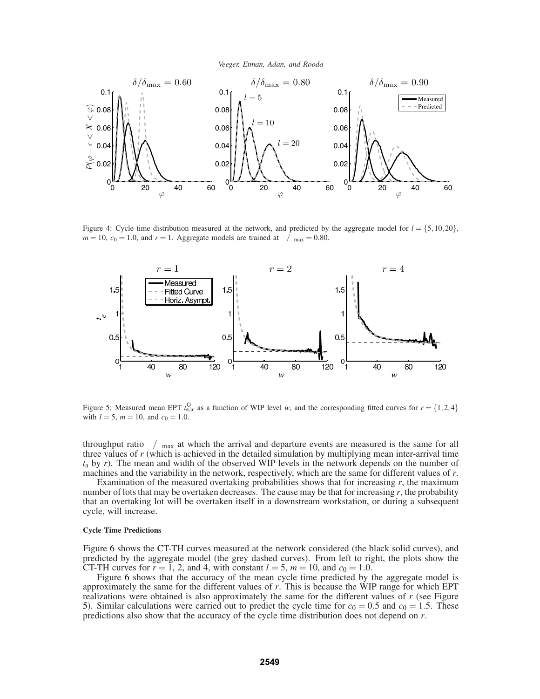

Figure 4: Cycle time distribution measured at the network, and predicted by the aggregate model for  $l = \{5, 10, 20\}$ ,  $m = 10$ ,  $c_0 = 1.0$ , and  $r = 1$ . Aggregate models are trained at  $\delta/\delta_{\text{max}} = 0.80$ .



Figure 5: Measured mean EPT  $t_{e,w}^Q$  as a function of WIP level *w*, and the corresponding fitted curves for  $r = \{1,2,4\}$ with  $l = 5$ ,  $m = 10$ , and  $c_0 = 1.0$ .

throughput ratio  $\delta/\delta_{\text{max}}$  at which the arrival and departure events are measured is the same for all three values of *r* (which is achieved in the detailed simulation by multiplying mean inter-arrival time *t*<sup>a</sup> by *r*). The mean and width of the observed WIP levels in the network depends on the number of machines and the variability in the network, respectively, which are the same for different values of *r*.

Examination of the measured overtaking probabilities shows that for increasing *r*, the maximum number of lots that may be overtaken decreases. The cause may be that for increasing  $r$ , the probability that an overtaking lot will be overtaken itself in a downstream workstation, or during a subsequent cycle, will increase.

### **Cycle Time Predictions**

Figure 6 shows the CT-TH curves measured at the network considered (the black solid curves), and predicted by the aggregate model (the grey dashed curves). From left to right, the plots show the CT-TH curves for  $r = 1$ , 2, and 4, with constant  $l = 5$ ,  $m = 10$ , and  $c_0 = 1.0$ .

Figure 6 shows that the accuracy of the mean cycle time predicted by the aggregate model is approximately the same for the different values of *r*. This is because the WIP range for which EPT realizations were obtained is also approximately the same for the different values of *r* (see Figure 5). Similar calculations were carried out to predict the cycle time for  $c_0 = 0.5$  and  $c_0 = 1.5$ . These predictions also show that the accuracy of the cycle time distribution does not depend on *r*.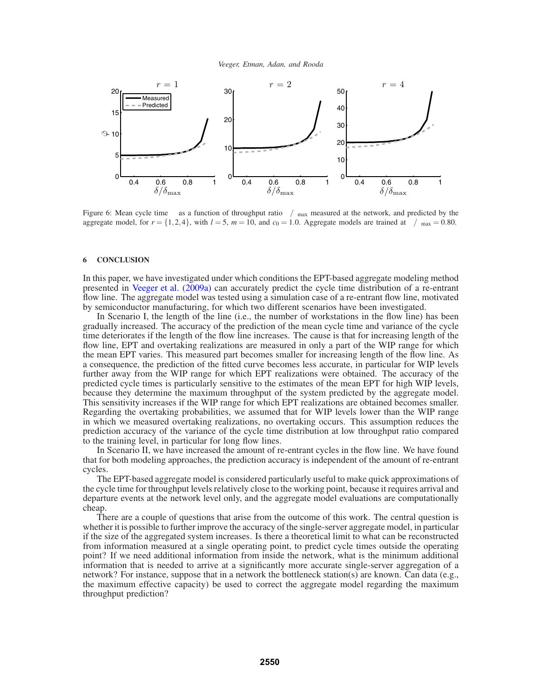



Figure 6: Mean cycle time  $\varphi$  as a function of throughput ratio  $\delta/\delta_{\text{max}}$  measured at the network, and predicted by the aggregate model, for  $r = \{1,2,4\}$ , with  $l = 5$ ,  $m = 10$ , and  $c_0 = 1.0$ . Aggregate models are trained at  $\delta/\delta_{\text{max}} = 0.80$ .

### **6 CONCLUSION**

In this paper, we have investigated under which conditions the EPT-based aggregate modeling method presented in Veeger et al. (2009a) can accurately predict the cycle time distribution of a re-entrant flow line. The aggregate model was tested using a simulation case of a re-entrant flow line, motivated by semiconductor manufacturing, for which two different scenarios have been investigated.

In Scenario I, the length of the line (i.e., the number of workstations in the flow line) has been gradually increased. The accuracy of the prediction of the mean cycle time and variance of the cycle time deteriorates if the length of the flow line increases. The cause is that for increasing length of the flow line, EPT and overtaking realizations are measured in only a part of the WIP range for which the mean EPT varies. This measured part becomes smaller for increasing length of the flow line. As a consequence, the prediction of the fitted curve becomes less accurate, in particular for WIP levels further away from the WIP range for which EPT realizations were obtained. The accuracy of the predicted cycle times is particularly sensitive to the estimates of the mean EPT for high WIP levels, because they determine the maximum throughput of the system predicted by the aggregate model. This sensitivity increases if the WIP range for which EPT realizations are obtained becomes smaller. Regarding the overtaking probabilities, we assumed that for WIP levels lower than the WIP range in which we measured overtaking realizations, no overtaking occurs. This assumption reduces the prediction accuracy of the variance of the cycle time distribution at low throughput ratio compared to the training level, in particular for long flow lines.

In Scenario II, we have increased the amount of re-entrant cycles in the flow line. We have found that for both modeling approaches, the prediction accuracy is independent of the amount of re-entrant cycles.

The EPT-based aggregate model is considered particularly useful to make quick approximations of the cycle time for throughput levels relatively close to the working point, because it requires arrival and departure events at the network level only, and the aggregate model evaluations are computationally cheap.

There are a couple of questions that arise from the outcome of this work. The central question is whether it is possible to further improve the accuracy of the single-server aggregate model, in particular if the size of the aggregated system increases. Is there a theoretical limit to what can be reconstructed from information measured at a single operating point, to predict cycle times outside the operating point? If we need additional information from inside the network, what is the minimum additional information that is needed to arrive at a significantly more accurate single-server aggregation of a network? For instance, suppose that in a network the bottleneck station(s) are known. Can data (e.g., the maximum effective capacity) be used to correct the aggregate model regarding the maximum throughput prediction?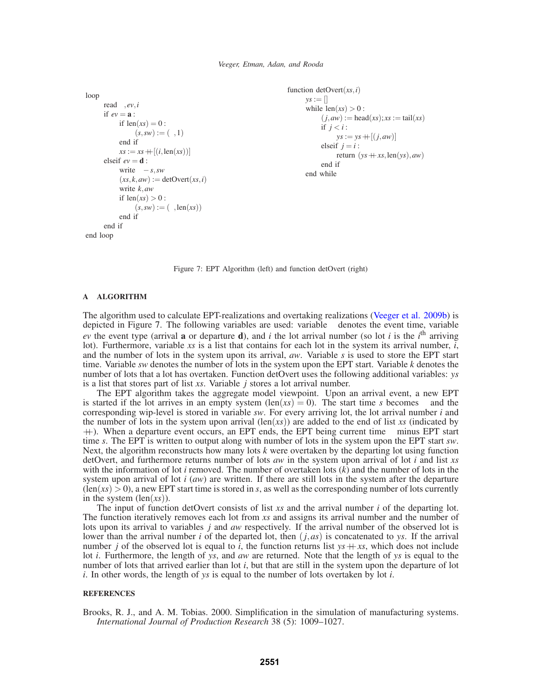```
loop
      read τ,ev,i
      if ev = \mathbf{a}:
           if len(xs) = 0:
                 (s, sw) := (\tau, 1)end if
           xs := xs + [(i, len(xs))]elseif ev = d:
           write \tau - s, sw
           (xs, k, aw) := detOvert(xs, i)write k,aw
           if len(xs) > 0:
                 (s, sw) := (\tau, len(xs))end if
      end if
end loop
```

```
function detOvert(xs,i)
     ys := []while len(xs) > 0:
           (j, aw) := head(xs); xs := tail(xs)if j < i:
                ys := ys + [(j, aw)]elseif j = i:
                return (ys + xs, len(ys), aw)end if
     end while
```
Figure 7: EPT Algorithm (left) and function detOvert (right)

# **A ALGORITHM**

The algorithm used to calculate EPT-realizations and overtaking realizations (Veeger et al. 2009b) is depicted in Figure 7. The following variables are used: variable  $\tau$  denotes the event time, variable  $ev$  the event type (arrival **a** or departure **d**), and *i* the lot arrival number (so lot *i* is the *i*<sup>th</sup> arriving lot). Furthermore, variable *xs* is a list that contains for each lot in the system its arrival number,  $\vec{i}$ , and the number of lots in the system upon its arrival, *aw*. Variable *s* is used to store the EPT start time. Variable *sw* denotes the number of lots in the system upon the EPT start. Variable *k* denotes the number of lots that a lot has overtaken. Function detOvert uses the following additional variables: *ys* is a list that stores part of list *xs*. Variable *j* stores a lot arrival number.

The EPT algorithm takes the aggregate model viewpoint. Upon an arrival event, a new EPT is started if the lot arrives in an empty system  $(\text{len}(xs) = 0)$ . The start time *s* becomes  $\tau$  and the corresponding wip-level is stored in variable *sw*. For every arriving lot, the lot arrival number *i* and the number of lots in the system upon arrival  $(\text{len}(xs))$  are added to the end of list *xs* (indicated by  $++$ ). When a departure event occurs, an EPT ends, the EPT being current time  $\tau$  minus EPT start time *s*. The EPT is written to output along with number of lots in the system upon the EPT start *sw*. Next, the algorithm reconstructs how many lots *k* were overtaken by the departing lot using function detOvert, and furthermore returns number of lots *aw* in the system upon arrival of lot *i* and list *xs* with the information of lot *i* removed. The number of overtaken lots (*k*) and the number of lots in the system upon arrival of lot *i* (*aw*) are written. If there are still lots in the system after the departure  $(\text{len}(xs) > 0)$ , a new EPT start time is stored in *s*, as well as the corresponding number of lots currently in the system (len(*xs*)).

The input of function detOvert consists of list *xs* and the arrival number *i* of the departing lot. The function iteratively removes each lot from *xs* and assigns its arrival number and the number of lots upon its arrival to variables *j* and *aw* respectively. If the arrival number of the observed lot is lower than the arrival number *i* of the departed lot, then (*j*,*as*) is concatenated to *ys*. If the arrival number *j* of the observed lot is equal to *i*, the function returns list  $ys + xs$ , which does not include lot *i*. Furthermore, the length of *ys*, and *aw* are returned. Note that the length of *ys* is equal to the number of lots that arrived earlier than lot *i*, but that are still in the system upon the departure of lot *i*. In other words, the length of *ys* is equal to the number of lots overtaken by lot *i*.

### **REFERENCES**

Brooks, R. J., and A. M. Tobias. 2000. Simplification in the simulation of manufacturing systems. *International Journal of Production Research* 38 (5): 1009–1027.